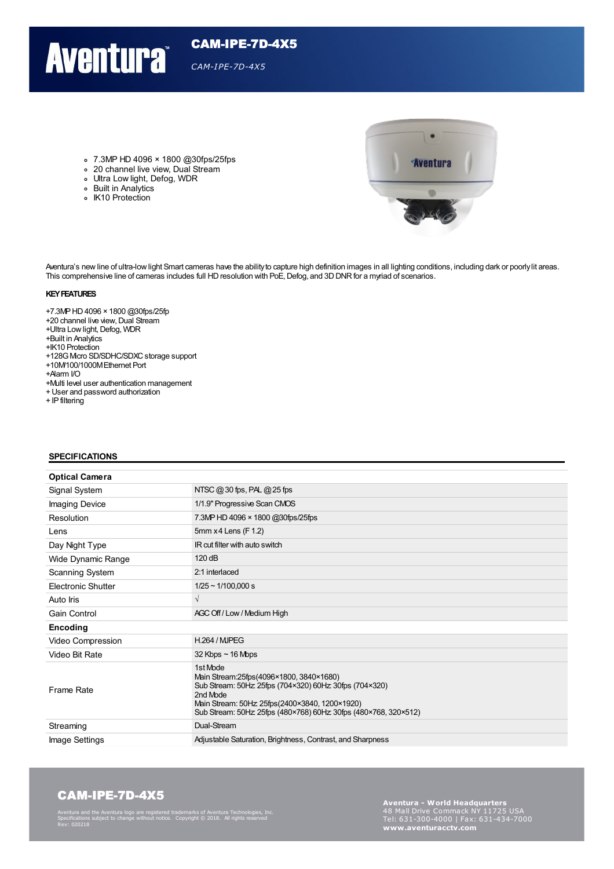## **Aventura**

#### 7.3MP HD 4096 × 1800 @30fps/25fps

- 20 channel live view, Dual Stream
- Ultra Low light, Defog, WDR
- Built in Analytics
- IK10 Protection

**Aventura** 

Aventura's new line of ultra-low light Smart cameras have the ability to capture high definition images in all lighting conditions, including dark or poorly lit areas. This comprehensive line of cameras includes full HD resolution with PoE, Defog, and 3D DNR for a myriad of scenarios.

CAM-IPE-7D-4X5

*CAM-IPE-7D-4X5*

#### **KEYFEATURES**

+7.3MPHD4096 × 1800 @30fps/25fp

- +20 channel live view, Dual Stream
- +Ultra Low light, Defog, WDR
- +Built in Analytics
- +IK10 Protection
- +128G Mcro SD/SDHC/SDXC storage support
- +10M/100/1000MEthernet Port
- +Alarm I/O
- +Multi level user authentication management
- +User and password authorization
- + IP filtering

#### **SPECIFICATIONS**

| <b>Optical Camera</b> |                                                                                                                                                                                                                                               |
|-----------------------|-----------------------------------------------------------------------------------------------------------------------------------------------------------------------------------------------------------------------------------------------|
| Signal System         | NTSC $@30$ fps, PAL $@25$ fps                                                                                                                                                                                                                 |
| Imaging Device        | 1/1.9" Progressive Scan CMOS                                                                                                                                                                                                                  |
| Resolution            | 7.3MP HD 4096 × 1800 @30fps/25fps                                                                                                                                                                                                             |
| Lens                  | 5mm x 4 Lens (F 1.2)                                                                                                                                                                                                                          |
| Day Night Type        | IR cut filter with auto switch                                                                                                                                                                                                                |
| Wide Dynamic Range    | 120 dB                                                                                                                                                                                                                                        |
| Scanning System       | 2:1 interlaced                                                                                                                                                                                                                                |
| Electronic Shutter    | $1/25 \sim 1/100,000 s$                                                                                                                                                                                                                       |
| Auto Iris             | $\sqrt{ }$                                                                                                                                                                                                                                    |
| Gain Control          | AGC Off / Low / Medium High                                                                                                                                                                                                                   |
| Encoding              |                                                                                                                                                                                                                                               |
| Video Compression     | <b>H.264 / MJPEG</b>                                                                                                                                                                                                                          |
| Video Bit Rate        | $32$ Kbps $\sim$ 16 Mbps                                                                                                                                                                                                                      |
| Frame Rate            | 1st Mode<br>Main Stream: 25fps (4096×1800, 3840×1680)<br>Sub Stream: 50Hz 25fps (704×320) 60Hz 30fps (704×320)<br>2nd Mode<br>Main Stream: 50Hz 25fps(2400×3840, 1200×1920)<br>Sub Stream: 50Hz 25fps (480×768) 60Hz 30fps (480×768, 320×512) |
| Streaming             | Dual-Stream                                                                                                                                                                                                                                   |
| Image Settings        | Adjustable Saturation, Brightness, Contrast, and Sharpness                                                                                                                                                                                    |

### CAM-IPE-7D-4X5

Aventura and the Aventura logo are registered trademarks of Aventura Technologies, Inc. Specifications subject to change without notice. Copyright © 2018. All rights reserved Rev: 020218

**Aventura - World Headquarters** Tel: 631-300-4000 <sup>|</sup> Fax: 631-434-7000 **www.aventuracctv.com**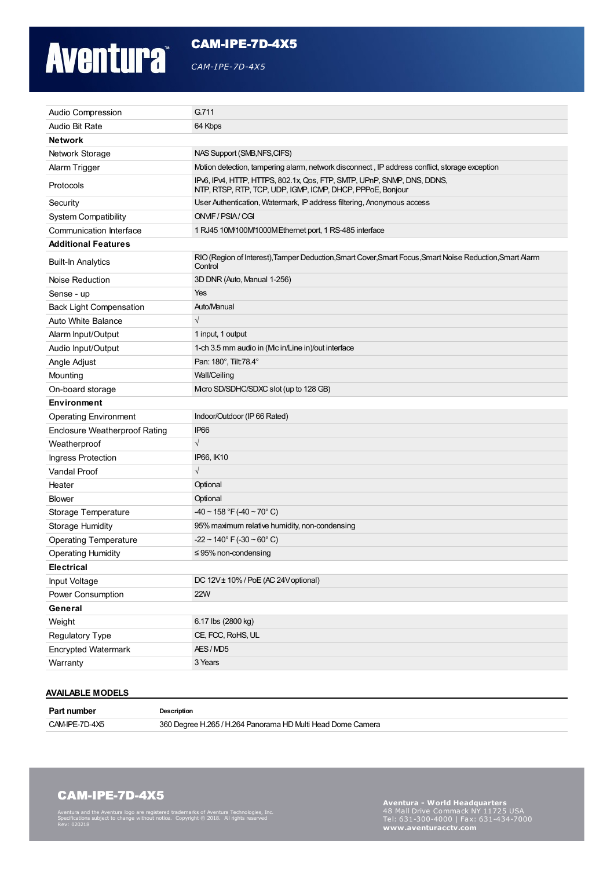# **Aventura**

CAM-IPE-7D-4X5

*CAM-IPE-7D-4X5*

| Audio Compression                    | G.711                                                                                                                                 |  |
|--------------------------------------|---------------------------------------------------------------------------------------------------------------------------------------|--|
| Audio Bit Rate                       | 64 Kbps                                                                                                                               |  |
| <b>Network</b>                       |                                                                                                                                       |  |
| Network Storage                      | NAS Support (SMB, NFS, CIFS)                                                                                                          |  |
| Alarm Trigger                        | Motion detection, tampering alarm, network disconnect, IP address conflict, storage exception                                         |  |
| Protocols                            | IPv6, IPv4, HTTP, HTTPS, 802.1x, Qos, FTP, SMTP, UPnP, SNMP, DNS, DDNS,<br>NTP, RTSP, RTP, TCP, UDP, IGMP, ICMP, DHCP, PPPoE, Bonjour |  |
| Security                             | User Authentication, Watermark, IP address filtering, Anonymous access                                                                |  |
| <b>System Compatibility</b>          | ONVIF/PSIA/CGI                                                                                                                        |  |
| Communication Interface              | 1 RJ45 10M/100M/1000M Ethernet port, 1 RS-485 interface                                                                               |  |
| <b>Additional Features</b>           |                                                                                                                                       |  |
| <b>Built-In Analytics</b>            | RIO (Region of Interest), Tamper Deduction, Smart Cover, Smart Focus, Smart Noise Reduction, Smart Alarm<br>Control                   |  |
| Noise Reduction                      | 3D DNR (Auto, Manual 1-256)                                                                                                           |  |
| Sense - up                           | Yes                                                                                                                                   |  |
| <b>Back Light Compensation</b>       | Auto/Manual                                                                                                                           |  |
| <b>Auto White Balance</b>            | $\sqrt{}$                                                                                                                             |  |
| Alarm Input/Output                   | 1 input, 1 output                                                                                                                     |  |
| Audio Input/Output                   | 1-ch 3.5 mm audio in (Mc in/Line in)/out interface                                                                                    |  |
| Angle Adjust                         | Pan: 180°, Tilt:78.4°                                                                                                                 |  |
| Mounting                             | Wall/Ceiling                                                                                                                          |  |
| On-board storage                     | Micro SD/SDHC/SDXC slot (up to 128 GB)                                                                                                |  |
| <b>Environment</b>                   |                                                                                                                                       |  |
| <b>Operating Environment</b>         | Indoor/Outdoor (IP 66 Rated)                                                                                                          |  |
| <b>Enclosure Weatherproof Rating</b> | IP <sub>66</sub>                                                                                                                      |  |
| Weatherproof                         | $\sqrt{}$                                                                                                                             |  |
| Ingress Protection                   | IP66, IK10                                                                                                                            |  |
| Vandal Proof                         | $\sqrt{}$                                                                                                                             |  |
| Heater                               | Optional                                                                                                                              |  |
| <b>Blower</b>                        | Optional                                                                                                                              |  |
| Storage Temperature                  | $-40 \sim 158$ °F ( $-40 \sim 70$ °C)                                                                                                 |  |
| <b>Storage Humidity</b>              | 95% maximum relative humidity, non-condensing                                                                                         |  |
| <b>Operating Temperature</b>         | $-22 \sim 140^{\circ}$ F (-30 $\sim$ 60° C)                                                                                           |  |
| <b>Operating Humidity</b>            | $\leq$ 95% non-condensing                                                                                                             |  |
| Electrical                           |                                                                                                                                       |  |
| Input Voltage                        | DC 12V± 10% / PoE (AC 24V optional)                                                                                                   |  |
| Power Consumption                    | <b>22W</b>                                                                                                                            |  |
| General                              |                                                                                                                                       |  |
| Weight                               | 6.17 lbs (2800 kg)                                                                                                                    |  |
| <b>Regulatory Type</b>               | CE, FCC, RoHS, UL                                                                                                                     |  |
| <b>Encrypted Watermark</b>           | AES/MD5                                                                                                                               |  |
| Warranty                             | 3 Years                                                                                                                               |  |
|                                      |                                                                                                                                       |  |

### **AVAILABLE MODELS**

**Part number Description** 

CAM-IPE-7D-4X5 360 Degree H.265 /H.264 Panorama HD Multi Head Dome Camera

## CAM-IPE-7D-4X5

Aventura and the Aventura logo are registered trademarks of Aventura Technologies, Inc. Specifications subject to change without notice. Copyright © 2018. All rights reserved Rev: 020218

**Aventura - World Headquarters** Tel: 631-300-4000 <sup>|</sup> Fax: 631-434-7000 **www.aventuracctv.com**